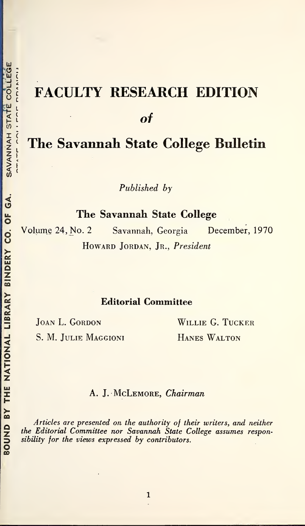# FACULTY RESEARCH EDITION of The Savannah State College Bulletin

Published by

The Savannah State College

Volume 24, No. 2 Savannah, Georgia December, 1970 HOWARD JORDAN, JR., President

# Editorial Committee

S. M. JULIE MAGGIONI HANES WALTON

JOAN L. GORDON WILLIE G. TUCKER

# A. J. McLEMORE, Chairman

Articles are presented on the authority of their writers, and neither the Editorial Committee nor Savannah State College assumes responsibility for the views expressed by contributors.

くし ここくく しきょきく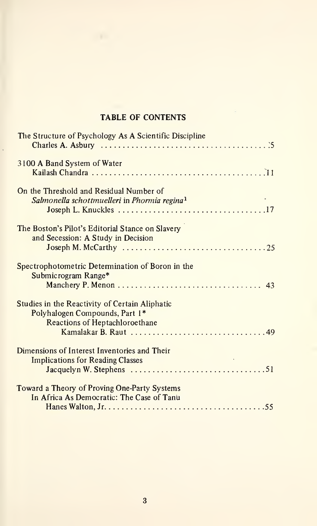# TABLE OF CONTENTS

| The Structure of Psychology As A Scientific Discipline                                                             |
|--------------------------------------------------------------------------------------------------------------------|
| 3100 A Band System of Water                                                                                        |
| On the Threshold and Residual Number of<br>Salmonella schottmuelleri in Phormia regina <sup>1</sup>                |
| The Boston's Pilot's Editorial Stance on Slavery<br>and Secession: A Study in Decision                             |
| Spectrophotometric Determination of Boron in the<br>Submicrogram Range*                                            |
| Studies in the Reactivity of Certain Aliphatic<br>Polyhalogen Compounds, Part 1*<br>Reactions of Heptachloroethane |
| Dimensions of Interest Inventories and Their<br><b>Implications for Reading Classes</b>                            |
| Toward a Theory of Proving One-Party Systems<br>In Africa As Democratic: The Case of Tanu                          |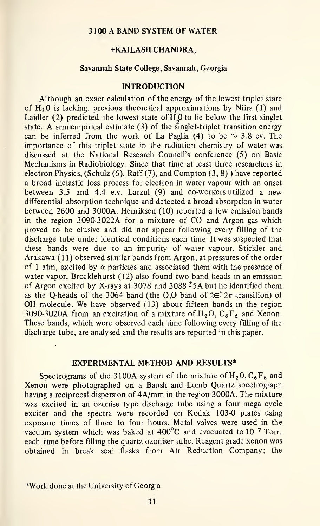#### 3100 A BAND SYSTEM OF WATER

#### +KAILASH CHANDRA,

#### Savannah State College, Savannah, Georgia

#### INTRODUCTION

Although an exact calculation of the energy of the lowest triplet state of  $H<sub>2</sub>0$  is lacking, previous theoretical approximations by Niira (1) and Laidler (2) predicted the lowest state of  $HQ$  to lie below the first singlet state. A semiempirical estimate  $(3)$  of the singlet-triplet transition energy can be inferred from the work of La Paglia (4) to be  $\sim$  3.8 ev. The importance of this triplet state in the radiation chemistry of water was discussed at the National Research Council's conference (5) on Basic Mechanisms in Radiobiology. Since that time at least three researchers in electron Physics, (Schulz  $(6)$ , Raff  $(7)$ , and Compton  $(3, 8)$ ) have reported a broad inelastic loss process for electron in water vapour with an onset between 3.5 and 4.4 e.v. Larzul (9) and co-workers utilized <sup>a</sup> new differential absorption technique and detected a broad absorption in water between 2600 and 3000A. Henriksen (10) reported <sup>a</sup> few emission bands in the region 3090-3022A for <sup>a</sup> mixture of CO and Argon gas which proved to be elusive and did not appear following every filling of the discharge tube under identical conditions each time. It was suspected that these bands were due to an impurity of water vapour. Stickler and Arakawa (11) observed similar bands from Argon, at pressures of the order of 1 atm, excited by  $\alpha$  particles and associated them with the presence of water vapor. Brocklehurst (12) also found two band heads in an emission of Argon excited by X-rays at 3078 and 3088 \*5A but he identified them as the Q-heads of the 3064 band (the O,O band of  $2\epsilon^2$   $2\pi$  transition) of OH molecule. We have observed (13) about fifteen bands in the region 3090-3020A from an excitation of a mixture of  $H_2O$ ,  $C_6F_6$  and Xenon. These bands, which were observed each time following every filling of the discharge tube, are analysed and the results are reported in this paper.

#### EXPERIMENTAL METHOD AND RESULTS\*

Spectrograms of the 3100A system of the mixture of  $H_2O$ ,  $C_6F_6$  and Xenon were photographed on <sup>a</sup> Baush and Lomb Quartz spectrograph having <sup>a</sup> reciprocal dispersion of 4A/mm in the region 3000A. The mixture was excited in an ozonise type discharge tube using a four mega cycle exciter and the spectra were recorded on Kodak 103-0 plates using exposure times of three to four hours. Metal valves were used in the vacuum system which was baked at  $400^{\circ}$ C and evacuated to  $10^{-7}$  Torr. each time before filling the quartz ozoniser tube. Reagent grade xenon was obtained in break seal flasks from Air Reduction Company; the

\*Work done at the University of Georgia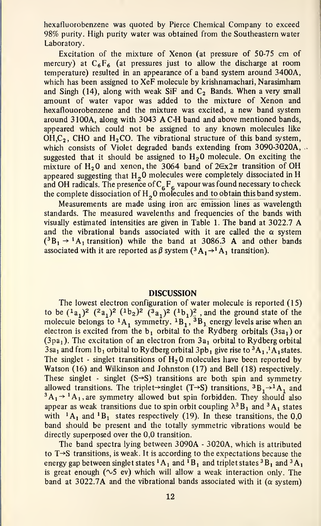hexafluorobenzene was quoted by Pierce Chemical Company to exceed 98% purity. High purity water was obtained from the Southeastern water Laboratory.

Excitation of the mixture of Xenon (at pressure of 50-75 cm of mercury) at  $C_6F_6$  (at pressures just to allow the discharge at room temperature) resulted in an appearance of a band system around 3400A, which has been assigned to XeF molecule by krishnamachari, Narasimham and Singh (14), along with weak SiF and  $C_2$  Bands. When a very small amount of water vapor was added to the mixture of Xenon and hexaflouorobenzene and the mixture was excited, a new band system around 3100A, along with 3043 AC-H band and above mentioned bands, appeared which could not be assigned to any known molecules like  $OH, C<sub>2</sub>$ , CHO and H<sub>2</sub>CO. The vibrational structure of this band system, which consists of Violet degraded bands extending from 3090-3020A, .. suggested that it should be assigned to  $H<sub>2</sub>0$  molecule. On exciting the mixture of H<sub>2</sub>O and xenon, the 3064 band of  $2\epsilon x2\pi$  transition of OH appeared suggesting that  $H<sub>2</sub>0$  molecules were completely dissociated in H and OH radicals. The presence of  $C_6F_6$  vapour was found necessary to check the complete dissociation of  $H_2O$  molecules and to obtain this band system.

Measurements are made using iron arc emission lines as wavelength standards. The measured wavelenths and frequencies of the bands with visually estimated intensities are given in Table 1. The band at 3022.7 A and the vibrational bands associated with it are called the  $\alpha$  system  $({}^3B_1 \rightarrow {}^1A_1$  transition) while the band at 3086.3 A and other bands associated with it are reported as  $\beta$  system  $({}^3A_1\rightarrow {}^1A_1$  transition).

#### **DISCUSSION**

The lowest electron configuration of water molecule is reported (15) to be  $({}^{1}a_{1})^{2}$   $({}^{2}a_{1})^{2}$   $({}^{1}b_{2})^{2}$   $({}^{3}a_{1})^{2}$   $({}^{1}b_{1})^{2}$  , and the ground state of the molecule belongs to  $^1A_1$  symmetry.  $^1B_1$ ,  $^3B_1$  energy levels arise when an electron is excited from the  $b_1$  orbital to the Rydberg orbitals (3sa<sub>1</sub>) or  $(3pa<sub>1</sub>)$ . The excitation of an electron from  $3a<sub>1</sub>$  orbital to Rydberg orbital  $3$ sa<sub>1</sub> and from  $1b_1$  orbital to Rydberg orbital  $3pb_1$  give rise to  $^3A_1$ ,<sup>1</sup>A<sub>1</sub> states. The singlet - singlet transitions of  $H<sub>2</sub>0$  molecules have been reported by Watson (16) and Wilkinson and Johnston (17) and Bell (18) respectively. These singlet - singlet  $(S\rightarrow S)$  transitions are both spin and symmetry allowed transitions. The triplet->singlet (T->S) transitions,  ${}^3B_1\rightarrow {}^1A_1$  and  $^3A_1 \rightarrow ^1A_1$ , are symmetry allowed but spin forbidden. They should also appear as weak transitions due to spin orbit coupling  $\lambda^3B_1$  and  $^3A_1$  states with  $^1$ A<sub>1</sub> and  $^1$ B<sub>1</sub> states respectively (19). In these transitions, the 0,0 band should be present and the totally symmetric vibrations would be directly superposed over the 0,0 transition.

The band spectra lying between 3090A - 3020A, which is attributed to  $T\rightarrow S$  transitions, is weak. It is according to the expectations because the energy gap between singlet states  ${}^{1}A_{1}$  and  ${}^{1}B_{1}$  and triplet states  ${}^{3}B_{1}$  and  ${}^{3}A_{1}$ is great enough ( $\sim$ 5 ev) which will allow a weak interaction only. The band at 3022.7A and the vibrational bands associated with it ( $\alpha$  system)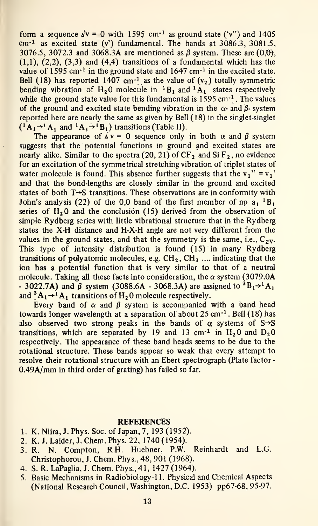form a sequence  $\Delta^{\nu} = 0$  with 1595 cm<sup>-1</sup> as ground state ('v') and 1405  $cm<sup>-1</sup>$  as excited state (v') fundamental. The bands at 3086.3, 3081.5, 3076.5, 3072.3 and 3068.3A are mentioned as  $\beta$  system. These are (0,0),  $(1,1)$ ,  $(2,2)$ ,  $(3,3)$  and  $(4,4)$  transitions of a fundamental which has the value of 1595 cm<sup>-1</sup> in the ground state and  $1647$  cm<sup>-1</sup> in the excited state. Bell (18) has reported 1407 cm<sup>-1</sup> as the value of  $(v_2)$  totally symmetric bending vibration of  $H_2O$  molecule in  ${}^1B_1$  and  ${}^1A_1$  states respectively while the ground state value for this fundamental is  $1595 \text{ cm}^{-1}$ . The values of the ground and excited state bending vibration in the  $\alpha$ - and  $\beta$ - system reported here are nearly the same as given by Bell (18) in the singlet-singlet  $({}^{1}A_{1} \rightarrow {}^{1}A_{1}$  and  ${}^{1}A_{1} \rightarrow {}^{1}B_{1})$  transitions (Table II).

The appearance of  $\Delta v = 0$  sequence only in both  $\alpha$  and  $\beta$  system suggests that the potential functions in ground and excited states are nearly alike. Similar to the spectra  $(20, 21)$  of CF<sub>2</sub> and Si F<sub>2</sub>, no evidence for an excitation of the symmetrical stretching vibration of triplet states of water molecule is found. This absence further suggests that the  $v_1$ " =  $v_1$ " and that the bond-lengths are closely similar in the ground and excited states of both  $T\rightarrow S$  transitions. These observations are in conformity with John's analysis (22) of the 0,0 band of the first member of np  $a_1$ <sup>1</sup>B<sub>1</sub> series of  $H<sub>2</sub>0$  and the conclusion (15) derived from the observation of simple Rydberg series with little vibrational structure that in the Rydberg states the X-H distance and H-X-H angle are not very different from the values in the ground states, and that the symmetry is the same, i.e.,  $C_{2V}$ . This type of intensity distribution is found (15) in many Rydberg transitions of polyatomic molecules, e.g.  $CH_2$ ,  $CH_3$  .... indicating that the ion has a potential function that is very similar to that of a neutral molecule. Taking all these facts into consideration, the  $\alpha$  system (3079.0A)  $-$  3022.7A) and  $\beta$  system (3088.6A - 3068.3A) are assigned to  ${}^{3}B_{1}\rightarrow {}^{1}A_{1}$ and  ${}^3A_1\rightarrow {}^1A_1$  transitions of H<sub>2</sub>O molecule respectively.

Every band of  $\alpha$  and  $\beta$  system is accompanied with a band head towards longer wavelength at a separation of about  $25 \text{ cm}^{-1}$ . Bell (18) has also observed two strong peaks in the bands of  $\alpha$  systems of S $\rightarrow$ S transitions, which are separated by 19 and 13 cm<sup>-1</sup> in H<sub>2</sub>O and D<sub>2</sub>O respectively. The appearance of these band heads seems to be due to the rotational structure. These bands appear so weak that every attempt to resolve their rotational structure with an Ebert spectrograph (Plate factor - 0.49A/mm in third order of grating) has failed so far.

#### **REFERENCES**

- 1. K. Niira, J. Phys. Soc. of Japan, 7, 193 (1952).
- 2. K. J. Laider, J. Chem. Phys. 22, 1740 (1954).
- 3. R. N. Compton, R.H. Huebner, P.W. Reinhardt and L.G. Christophorou, J. Chem. Phys., 48, 901 (1968).
- 4. S. R. LaPaglia, J. Chem. Phys., 41, 1427 (1964).
- 5. Basic Mechanisms in Radiobiology-1 1. Physical and Chemical Aspects (National Research Council, Washington, D.C. 1953) pp67-68, 95-97.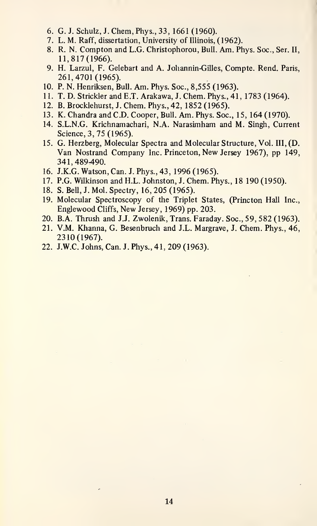- 6. G. J. Schulz,J.Chem,Phys.,33,1661(1960).
- 7. L. M. Raff, dissertation, University of Illinois, (1962).
- 8. R. N. Compton and L.G. Christophorou, Bull. Am. Phys. Soc, Ser. II, 11,817(1966).
- 9. H. Larzul, F. Gelebart and A. Johannin-Gilles, Compte. Rend. Paris, 261,4701(1965).
- 10. P. N. Henriksen, BuU. Am. Phys. Soc, 8,555 (1963).
- 11. T. D. Strickler and E.T. Arakawa, J. Chem. Phys., 41, 1783 (1964).
- 12. B. Brocklehurst, J. Chem. Phys., 42, 1852 (1965).
- 13. K. Chandra and CD. Cooper, Bull. Am. Phys. Soc, 15, 164 (1970).
- 14. S.L.N.G. Krichnamachari, N.A. Narasimham and M. Singh, Current Science, 3, 75 (1965).
- 15. G. Herzberg, Molecular Spectra and Molecular Structure, Vol. Ill, (D. Van Nostrand Company Inc. Princeton, New Jersey 1967), pp 149, 341,489-490.
- 16. J.K.G. Watson, Can. J. Phys., 43, 1996 (1965).
- 17. P.G. Wilkinson and H.L. Johnston, J. Chem. Phys., 18 190 (1950).
- 18. S. Bell, J. Mol. Spectry, 16, 205 (1965).
- 19. Molecular Spectroscopy of the Triplet States, (Princton Hall Inc., Englewood Cliffs, New Jersey, 1969) pp. 203.
- 20. B.A. Thrush and J.J. Zwolenik, Trans. Faraday. Soc, 59, 582 (1963).
- 21. V.M. Khanna, G. Besenbruch and J.L. Margrave, J. Chem. Phys., 46, 2310(1967).
- 22. J.W.C. Johns, Can. J. Phys., 41, 209 (1963).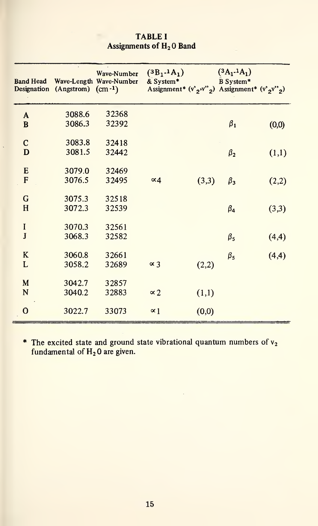| <b>Band Head</b> | Designation (Angstrom) (cm-1) | Wave-Number<br>Wave-Length Wave-Number | $(3B_1 - 1A_1)$<br>& System*<br>Assignment* $(v^2, v^2, v^2)$ Assignment* $(v^2, v^2, v^2)$ |       | $(3A_1.1A_1)$<br>B System* |       |
|------------------|-------------------------------|----------------------------------------|---------------------------------------------------------------------------------------------|-------|----------------------------|-------|
| A                | 3088.6                        | 32368                                  |                                                                                             |       |                            |       |
| $\bf{B}$         | 3086.3                        | 32392                                  |                                                                                             |       | $\beta_1$                  | (0,0) |
| $\mathbf C$      | 3083.8                        | 32418                                  |                                                                                             |       |                            |       |
| D                | 3081.5                        | 32442                                  |                                                                                             |       | $\beta_2$                  | (1,1) |
| E                | 3079.0                        | 32469                                  |                                                                                             |       |                            |       |
| F                | 3076.5                        | 32495                                  | $\alpha$ 4                                                                                  | (3,3) | $\beta_3$                  | (2,2) |
|                  |                               |                                        |                                                                                             |       |                            |       |
| G                | 3075.3                        | 32518                                  |                                                                                             |       |                            |       |
| H                | 3072.3                        | 32539                                  |                                                                                             |       | $\beta_4$                  | (3,3) |
| $\bf I$          | 3070.3                        | 32561                                  |                                                                                             |       |                            |       |
| $\bf J$          | 3068.3                        | 32582                                  |                                                                                             |       | $\beta_5$                  | (4,4) |
| K                | 3060.8                        | 32661                                  |                                                                                             |       | $\beta_5$                  | (4,4) |
| L                | 3058.2                        | 32689                                  | $\propto$ 3                                                                                 | (2,2) |                            |       |
|                  |                               |                                        |                                                                                             |       |                            |       |
| M<br>N           | 3042.7<br>3040.2              | 32857<br>32883                         |                                                                                             |       |                            |       |
|                  |                               |                                        | $\propto$ 2                                                                                 | (1,1) |                            |       |
| $\mathbf{o}$     | 3022.7                        | 33073                                  | $\propto$ 1                                                                                 | (0,0) |                            |       |

### TABLE <sup>I</sup> Assignments of H<sub>2</sub>O Band

\* The excited state and ground state vibrational quantum numbers of  $v_2$ fundamental of  $\rm H_2$  0 are given.